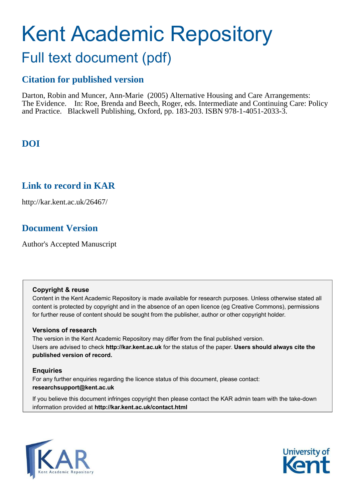# Kent Academic Repository

# Full text document (pdf)

## **Citation for published version**

Darton, Robin and Muncer, Ann-Marie (2005) Alternative Housing and Care Arrangements: The Evidence. In: Roe, Brenda and Beech, Roger, eds. Intermediate and Continuing Care: Policy and Practice. Blackwell Publishing, Oxford, pp. 183-203. ISBN 978-1-4051-2033-3.

## **DOI**

### **Link to record in KAR**

http://kar.kent.ac.uk/26467/

## **Document Version**

Author's Accepted Manuscript

#### **Copyright & reuse**

Content in the Kent Academic Repository is made available for research purposes. Unless otherwise stated all content is protected by copyright and in the absence of an open licence (eg Creative Commons), permissions for further reuse of content should be sought from the publisher, author or other copyright holder.

#### **Versions of research**

The version in the Kent Academic Repository may differ from the final published version. Users are advised to check **http://kar.kent.ac.uk** for the status of the paper. **Users should always cite the published version of record.**

#### **Enquiries**

For any further enquiries regarding the licence status of this document, please contact: **researchsupport@kent.ac.uk**

If you believe this document infringes copyright then please contact the KAR admin team with the take-down information provided at **http://kar.kent.ac.uk/contact.html**



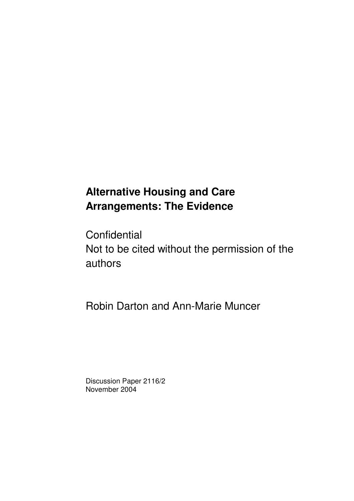## **Alternative Housing and Care Arrangements: The Evidence**

**Confidential** Not to be cited without the permission of the authors

Robin Darton and Ann-Marie Muncer

Discussion Paper 2116/2 November 2004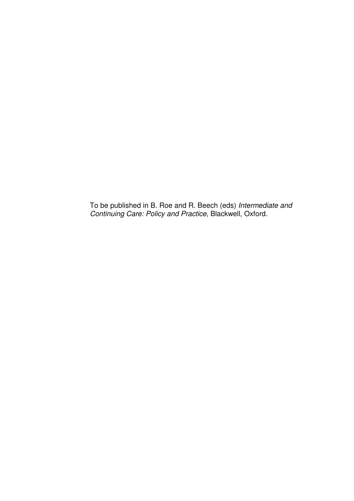To be published in B. Roe and R. Beech (eds) *Intermediate and Continuing Care: Policy and Practice*, Blackwell, Oxford.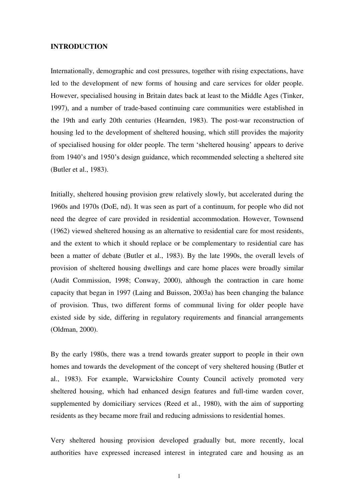#### **INTRODUCTION**

Internationally, demographic and cost pressures, together with rising expectations, have led to the development of new forms of housing and care services for older people. However, specialised housing in Britain dates back at least to the Middle Ages (Tinker, 1997), and a number of trade-based continuing care communities were established in the 19th and early 20th centuries (Hearnden, 1983). The post-war reconstruction of housing led to the development of sheltered housing, which still provides the majority of specialised housing for older people. The term 'sheltered housing' appears to derive from 1940's and 1950's design guidance, which recommended selecting a sheltered site (Butler et al., 1983).

Initially, sheltered housing provision grew relatively slowly, but accelerated during the 1960s and 1970s (DoE, nd). It was seen as part of a continuum, for people who did not need the degree of care provided in residential accommodation. However, Townsend (1962) viewed sheltered housing as an alternative to residential care for most residents, and the extent to which it should replace or be complementary to residential care has been a matter of debate (Butler et al., 1983). By the late 1990s, the overall levels of provision of sheltered housing dwellings and care home places were broadly similar (Audit Commission, 1998; Conway, 2000), although the contraction in care home capacity that began in 1997 (Laing and Buisson, 2003a) has been changing the balance of provision. Thus, two different forms of communal living for older people have existed side by side, differing in regulatory requirements and financial arrangements (Oldman, 2000).

By the early 1980s, there was a trend towards greater support to people in their own homes and towards the development of the concept of very sheltered housing (Butler et al., 1983). For example, Warwickshire County Council actively promoted very sheltered housing, which had enhanced design features and full-time warden cover, supplemented by domiciliary services (Reed et al., 1980), with the aim of supporting residents as they became more frail and reducing admissions to residential homes.

Very sheltered housing provision developed gradually but, more recently, local authorities have expressed increased interest in integrated care and housing as an

1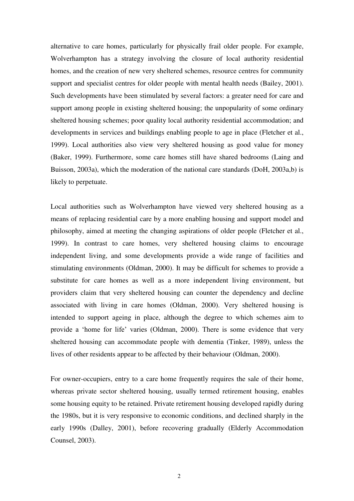alternative to care homes, particularly for physically frail older people. For example, Wolverhampton has a strategy involving the closure of local authority residential homes, and the creation of new very sheltered schemes, resource centres for community support and specialist centres for older people with mental health needs (Bailey, 2001). Such developments have been stimulated by several factors: a greater need for care and support among people in existing sheltered housing; the unpopularity of some ordinary sheltered housing schemes; poor quality local authority residential accommodation; and developments in services and buildings enabling people to age in place (Fletcher et al., 1999). Local authorities also view very sheltered housing as good value for money (Baker, 1999). Furthermore, some care homes still have shared bedrooms (Laing and Buisson, 2003a), which the moderation of the national care standards (DoH, 2003a,b) is likely to perpetuate.

Local authorities such as Wolverhampton have viewed very sheltered housing as a means of replacing residential care by a more enabling housing and support model and philosophy, aimed at meeting the changing aspirations of older people (Fletcher et al., 1999). In contrast to care homes, very sheltered housing claims to encourage independent living, and some developments provide a wide range of facilities and stimulating environments (Oldman, 2000). It may be difficult for schemes to provide a substitute for care homes as well as a more independent living environment, but providers claim that very sheltered housing can counter the dependency and decline associated with living in care homes (Oldman, 2000). Very sheltered housing is intended to support ageing in place, although the degree to which schemes aim to provide a 'home for life' varies (Oldman, 2000). There is some evidence that very sheltered housing can accommodate people with dementia (Tinker, 1989), unless the lives of other residents appear to be affected by their behaviour (Oldman, 2000).

For owner-occupiers, entry to a care home frequently requires the sale of their home, whereas private sector sheltered housing, usually termed retirement housing, enables some housing equity to be retained. Private retirement housing developed rapidly during the 1980s, but it is very responsive to economic conditions, and declined sharply in the early 1990s (Dalley, 2001), before recovering gradually (Elderly Accommodation Counsel, 2003).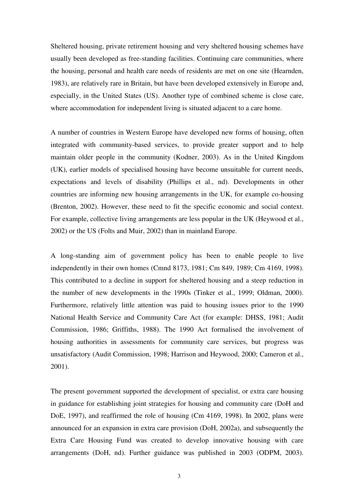Sheltered housing, private retirement housing and very sheltered housing schemes have usually been developed as free-standing facilities. Continuing care communities, where the housing, personal and health care needs of residents are met on one site (Hearnden, 1983), are relatively rare in Britain, but have been developed extensively in Europe and, especially, in the United States (US). Another type of combined scheme is close care, where accommodation for independent living is situated adjacent to a care home.

A number of countries in Western Europe have developed new forms of housing, often integrated with community-based services, to provide greater support and to help maintain older people in the community (Kodner, 2003). As in the United Kingdom (UK), earlier models of specialised housing have become unsuitable for current needs, expectations and levels of disability (Phillips et al., nd). Developments in other countries are informing new housing arrangements in the UK, for example co-housing (Brenton, 2002). However, these need to fit the specific economic and social context. For example, collective living arrangements are less popular in the UK (Heywood et al., 2002) or the US (Folts and Muir, 2002) than in mainland Europe.

A long-standing aim of government policy has been to enable people to live independently in their own homes (Cmnd 8173, 1981; Cm 849, 1989; Cm 4169, 1998). This contributed to a decline in support for sheltered housing and a steep reduction in the number of new developments in the 1990s (Tinker et al., 1999; Oldman, 2000). Furthermore, relatively little attention was paid to housing issues prior to the 1990 National Health Service and Community Care Act (for example: DHSS, 1981; Audit Commission, 1986; Griffiths, 1988). The 1990 Act formalised the involvement of housing authorities in assessments for community care services, but progress was unsatisfactory (Audit Commission, 1998; Harrison and Heywood, 2000; Cameron et al., 2001).

The present government supported the development of specialist, or extra care housing in guidance for establishing joint strategies for housing and community care (DoH and DoE, 1997), and reaffirmed the role of housing (Cm 4169, 1998). In 2002, plans were announced for an expansion in extra care provision (DoH, 2002a), and subsequently the Extra Care Housing Fund was created to develop innovative housing with care arrangements (DoH, nd). Further guidance was published in 2003 (ODPM, 2003).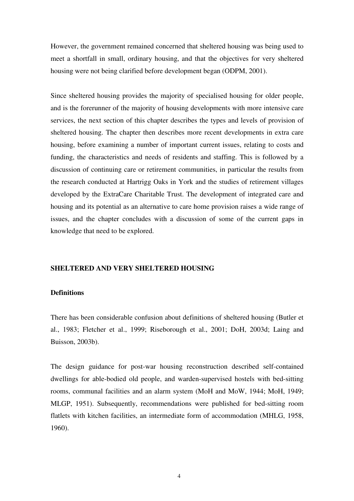However, the government remained concerned that sheltered housing was being used to meet a shortfall in small, ordinary housing, and that the objectives for very sheltered housing were not being clarified before development began (ODPM, 2001).

Since sheltered housing provides the majority of specialised housing for older people, and is the forerunner of the majority of housing developments with more intensive care services, the next section of this chapter describes the types and levels of provision of sheltered housing. The chapter then describes more recent developments in extra care housing, before examining a number of important current issues, relating to costs and funding, the characteristics and needs of residents and staffing. This is followed by a discussion of continuing care or retirement communities, in particular the results from the research conducted at Hartrigg Oaks in York and the studies of retirement villages developed by the ExtraCare Charitable Trust. The development of integrated care and housing and its potential as an alternative to care home provision raises a wide range of issues, and the chapter concludes with a discussion of some of the current gaps in knowledge that need to be explored.

#### **SHELTERED AND VERY SHELTERED HOUSING**

#### **Definitions**

There has been considerable confusion about definitions of sheltered housing (Butler et al., 1983; Fletcher et al., 1999; Riseborough et al., 2001; DoH, 2003d; Laing and Buisson, 2003b).

The design guidance for post-war housing reconstruction described self-contained dwellings for able-bodied old people, and warden-supervised hostels with bed-sitting rooms, communal facilities and an alarm system (MoH and MoW, 1944; MoH, 1949; MLGP, 1951). Subsequently, recommendations were published for bed-sitting room flatlets with kitchen facilities, an intermediate form of accommodation (MHLG, 1958, 1960).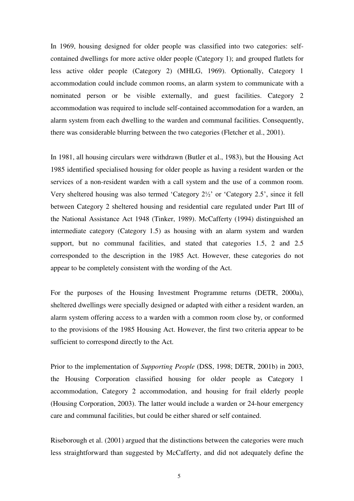In 1969, housing designed for older people was classified into two categories: selfcontained dwellings for more active older people (Category 1); and grouped flatlets for less active older people (Category 2) (MHLG, 1969). Optionally, Category 1 accommodation could include common rooms, an alarm system to communicate with a nominated person or be visible externally, and guest facilities. Category 2 accommodation was required to include self-contained accommodation for a warden, an alarm system from each dwelling to the warden and communal facilities. Consequently, there was considerable blurring between the two categories (Fletcher et al., 2001).

In 1981, all housing circulars were withdrawn (Butler et al., 1983), but the Housing Act 1985 identified specialised housing for older people as having a resident warden or the services of a non-resident warden with a call system and the use of a common room. Very sheltered housing was also termed 'Category 2½' or 'Category 2.5', since it fell between Category 2 sheltered housing and residential care regulated under Part III of the National Assistance Act 1948 (Tinker, 1989). McCafferty (1994) distinguished an intermediate category (Category 1.5) as housing with an alarm system and warden support, but no communal facilities, and stated that categories 1.5, 2 and 2.5 corresponded to the description in the 1985 Act. However, these categories do not appear to be completely consistent with the wording of the Act.

For the purposes of the Housing Investment Programme returns (DETR, 2000a), sheltered dwellings were specially designed or adapted with either a resident warden, an alarm system offering access to a warden with a common room close by, or conformed to the provisions of the 1985 Housing Act. However, the first two criteria appear to be sufficient to correspond directly to the Act.

Prior to the implementation of *Supporting People* (DSS, 1998; DETR, 2001b) in 2003, the Housing Corporation classified housing for older people as Category 1 accommodation, Category 2 accommodation, and housing for frail elderly people (Housing Corporation, 2003). The latter would include a warden or 24-hour emergency care and communal facilities, but could be either shared or self contained.

Riseborough et al. (2001) argued that the distinctions between the categories were much less straightforward than suggested by McCafferty, and did not adequately define the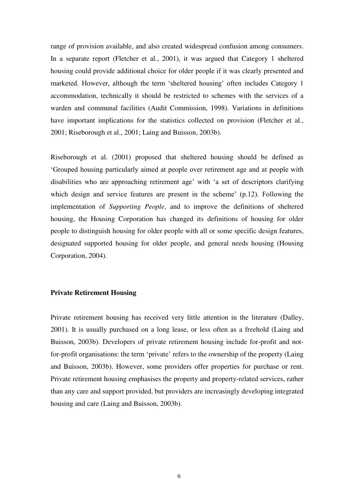range of provision available, and also created widespread confusion among consumers. In a separate report (Fletcher et al., 2001), it was argued that Category 1 sheltered housing could provide additional choice for older people if it was clearly presented and marketed. However, although the term 'sheltered housing' often includes Category 1 accommodation, technically it should be restricted to schemes with the services of a warden and communal facilities (Audit Commission, 1998). Variations in definitions have important implications for the statistics collected on provision (Fletcher et al., 2001; Riseborough et al., 2001; Laing and Buisson, 2003b).

Riseborough et al. (2001) proposed that sheltered housing should be defined as 'Grouped housing particularly aimed at people over retirement age and at people with disabilities who are approaching retirement age' with 'a set of descriptors clarifying which design and service features are present in the scheme' (p.12). Following the implementation of *Supporting People*, and to improve the definitions of sheltered housing, the Housing Corporation has changed its definitions of housing for older people to distinguish housing for older people with all or some specific design features, designated supported housing for older people, and general needs housing (Housing Corporation, 2004).

#### **Private Retirement Housing**

Private retirement housing has received very little attention in the literature (Dalley, 2001). It is usually purchased on a long lease, or less often as a freehold (Laing and Buisson, 2003b). Developers of private retirement housing include for-profit and notfor-profit organisations: the term 'private' refers to the ownership of the property (Laing and Buisson, 2003b). However, some providers offer properties for purchase or rent. Private retirement housing emphasises the property and property-related services, rather than any care and support provided, but providers are increasingly developing integrated housing and care (Laing and Buisson, 2003b).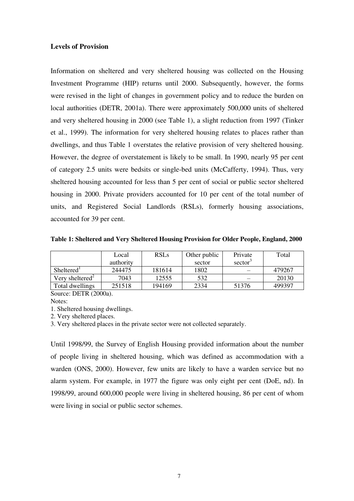#### **Levels of Provision**

Information on sheltered and very sheltered housing was collected on the Housing Investment Programme (HIP) returns until 2000. Subsequently, however, the forms were revised in the light of changes in government policy and to reduce the burden on local authorities (DETR, 2001a). There were approximately 500,000 units of sheltered and very sheltered housing in 2000 (see Table 1), a slight reduction from 1997 (Tinker et al., 1999). The information for very sheltered housing relates to places rather than dwellings, and thus Table 1 overstates the relative provision of very sheltered housing. However, the degree of overstatement is likely to be small. In 1990, nearly 95 per cent of category 2.5 units were bedsits or single-bed units (McCafferty, 1994). Thus, very sheltered housing accounted for less than 5 per cent of social or public sector sheltered housing in 2000. Private providers accounted for 10 per cent of the total number of units, and Registered Social Landlords (RSLs), formerly housing associations, accounted for 39 per cent.

**Table 1: Sheltered and Very Sheltered Housing Provision for Older People, England, 2000**

|                                               | Local<br>authority | <b>RSLs</b> | Other public<br>sector | Private<br>sector | Total  |
|-----------------------------------------------|--------------------|-------------|------------------------|-------------------|--------|
| Sheltered <sup>1</sup>                        | 244475             | 181614      | 1802                   | -                 | 479267 |
| Very sheltered <sup><math>\angle</math></sup> | 7043               | 12555       | 532                    |                   | 20130  |
| Total dwellings                               | 251518             | 194169      | 2334                   | 51376             | 499397 |

Source: DETR (2000a).

Notes:

1. Sheltered housing dwellings.

2. Very sheltered places.

3. Very sheltered places in the private sector were not collected separately.

Until 1998/99, the Survey of English Housing provided information about the number of people living in sheltered housing, which was defined as accommodation with a warden (ONS, 2000). However, few units are likely to have a warden service but no alarm system. For example, in 1977 the figure was only eight per cent (DoE, nd). In 1998/99, around 600,000 people were living in sheltered housing, 86 per cent of whom were living in social or public sector schemes.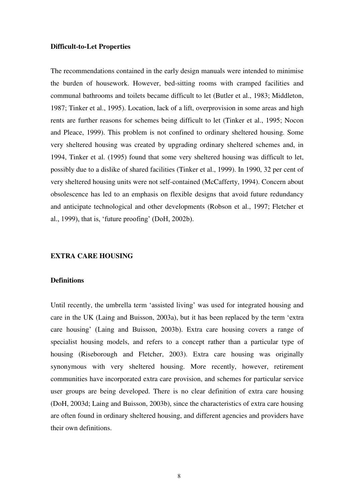#### **Difficult-to-Let Properties**

The recommendations contained in the early design manuals were intended to minimise the burden of housework. However, bed-sitting rooms with cramped facilities and communal bathrooms and toilets became difficult to let (Butler et al., 1983; Middleton, 1987; Tinker et al., 1995). Location, lack of a lift, overprovision in some areas and high rents are further reasons for schemes being difficult to let (Tinker et al., 1995; Nocon and Pleace, 1999). This problem is not confined to ordinary sheltered housing. Some very sheltered housing was created by upgrading ordinary sheltered schemes and, in 1994, Tinker et al. (1995) found that some very sheltered housing was difficult to let, possibly due to a dislike of shared facilities (Tinker et al., 1999). In 1990, 32 per cent of very sheltered housing units were not self-contained (McCafferty, 1994). Concern about obsolescence has led to an emphasis on flexible designs that avoid future redundancy and anticipate technological and other developments (Robson et al., 1997; Fletcher et al., 1999), that is, 'future proofing' (DoH, 2002b).

#### **EXTRA CARE HOUSING**

#### **Definitions**

Until recently, the umbrella term 'assisted living' was used for integrated housing and care in the UK (Laing and Buisson, 2003a), but it has been replaced by the term 'extra care housing' (Laing and Buisson, 2003b). Extra care housing covers a range of specialist housing models, and refers to a concept rather than a particular type of housing (Riseborough and Fletcher, 2003). Extra care housing was originally synonymous with very sheltered housing. More recently, however, retirement communities have incorporated extra care provision, and schemes for particular service user groups are being developed. There is no clear definition of extra care housing (DoH, 2003d; Laing and Buisson, 2003b), since the characteristics of extra care housing are often found in ordinary sheltered housing, and different agencies and providers have their own definitions.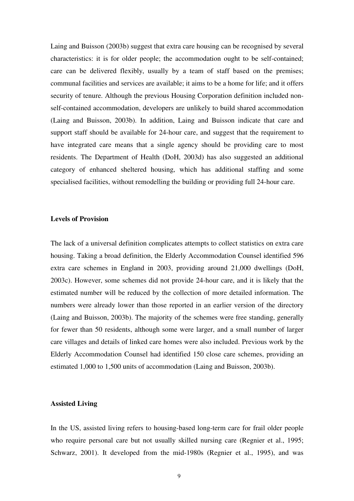Laing and Buisson (2003b) suggest that extra care housing can be recognised by several characteristics: it is for older people; the accommodation ought to be self-contained; care can be delivered flexibly, usually by a team of staff based on the premises; communal facilities and services are available; it aims to be a home for life; and it offers security of tenure. Although the previous Housing Corporation definition included nonself-contained accommodation, developers are unlikely to build shared accommodation (Laing and Buisson, 2003b). In addition, Laing and Buisson indicate that care and support staff should be available for 24-hour care, and suggest that the requirement to have integrated care means that a single agency should be providing care to most residents. The Department of Health (DoH, 2003d) has also suggested an additional category of enhanced sheltered housing, which has additional staffing and some specialised facilities, without remodelling the building or providing full 24-hour care.

#### **Levels of Provision**

The lack of a universal definition complicates attempts to collect statistics on extra care housing. Taking a broad definition, the Elderly Accommodation Counsel identified 596 extra care schemes in England in 2003, providing around 21,000 dwellings (DoH, 2003c). However, some schemes did not provide 24-hour care, and it is likely that the estimated number will be reduced by the collection of more detailed information. The numbers were already lower than those reported in an earlier version of the directory (Laing and Buisson, 2003b). The majority of the schemes were free standing, generally for fewer than 50 residents, although some were larger, and a small number of larger care villages and details of linked care homes were also included. Previous work by the Elderly Accommodation Counsel had identified 150 close care schemes, providing an estimated 1,000 to 1,500 units of accommodation (Laing and Buisson, 2003b).

#### **Assisted Living**

In the US, assisted living refers to housing-based long-term care for frail older people who require personal care but not usually skilled nursing care (Regnier et al., 1995; Schwarz, 2001). It developed from the mid-1980s (Regnier et al., 1995), and was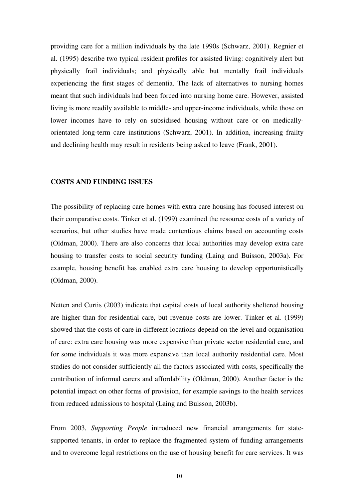providing care for a million individuals by the late 1990s (Schwarz, 2001). Regnier et al. (1995) describe two typical resident profiles for assisted living: cognitively alert but physically frail individuals; and physically able but mentally frail individuals experiencing the first stages of dementia. The lack of alternatives to nursing homes meant that such individuals had been forced into nursing home care. However, assisted living is more readily available to middle- and upper-income individuals, while those on lower incomes have to rely on subsidised housing without care or on medicallyorientated long-term care institutions (Schwarz, 2001). In addition, increasing frailty and declining health may result in residents being asked to leave (Frank, 2001).

#### **COSTS AND FUNDING ISSUES**

The possibility of replacing care homes with extra care housing has focused interest on their comparative costs. Tinker et al. (1999) examined the resource costs of a variety of scenarios, but other studies have made contentious claims based on accounting costs (Oldman, 2000). There are also concerns that local authorities may develop extra care housing to transfer costs to social security funding (Laing and Buisson, 2003a). For example, housing benefit has enabled extra care housing to develop opportunistically (Oldman, 2000).

Netten and Curtis (2003) indicate that capital costs of local authority sheltered housing are higher than for residential care, but revenue costs are lower. Tinker et al. (1999) showed that the costs of care in different locations depend on the level and organisation of care: extra care housing was more expensive than private sector residential care, and for some individuals it was more expensive than local authority residential care. Most studies do not consider sufficiently all the factors associated with costs, specifically the contribution of informal carers and affordability (Oldman, 2000). Another factor is the potential impact on other forms of provision, for example savings to the health services from reduced admissions to hospital (Laing and Buisson, 2003b).

From 2003, *Supporting People* introduced new financial arrangements for statesupported tenants, in order to replace the fragmented system of funding arrangements and to overcome legal restrictions on the use of housing benefit for care services. It was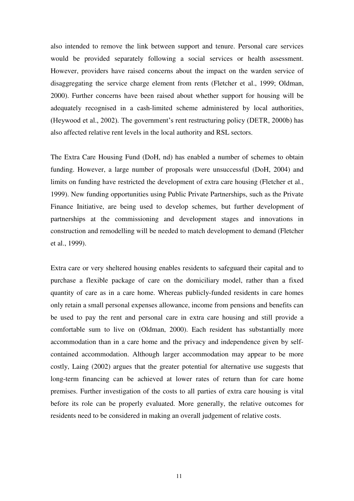also intended to remove the link between support and tenure. Personal care services would be provided separately following a social services or health assessment. However, providers have raised concerns about the impact on the warden service of disaggregating the service charge element from rents (Fletcher et al., 1999; Oldman, 2000). Further concerns have been raised about whether support for housing will be adequately recognised in a cash-limited scheme administered by local authorities, (Heywood et al., 2002). The government's rent restructuring policy (DETR, 2000b) has also affected relative rent levels in the local authority and RSL sectors.

The Extra Care Housing Fund (DoH, nd) has enabled a number of schemes to obtain funding. However, a large number of proposals were unsuccessful (DoH, 2004) and limits on funding have restricted the development of extra care housing (Fletcher et al., 1999). New funding opportunities using Public Private Partnerships, such as the Private Finance Initiative, are being used to develop schemes, but further development of partnerships at the commissioning and development stages and innovations in construction and remodelling will be needed to match development to demand (Fletcher et al., 1999).

Extra care or very sheltered housing enables residents to safeguard their capital and to purchase a flexible package of care on the domiciliary model, rather than a fixed quantity of care as in a care home. Whereas publicly-funded residents in care homes only retain a small personal expenses allowance, income from pensions and benefits can be used to pay the rent and personal care in extra care housing and still provide a comfortable sum to live on (Oldman, 2000). Each resident has substantially more accommodation than in a care home and the privacy and independence given by selfcontained accommodation. Although larger accommodation may appear to be more costly, Laing (2002) argues that the greater potential for alternative use suggests that long-term financing can be achieved at lower rates of return than for care home premises. Further investigation of the costs to all parties of extra care housing is vital before its role can be properly evaluated. More generally, the relative outcomes for residents need to be considered in making an overall judgement of relative costs.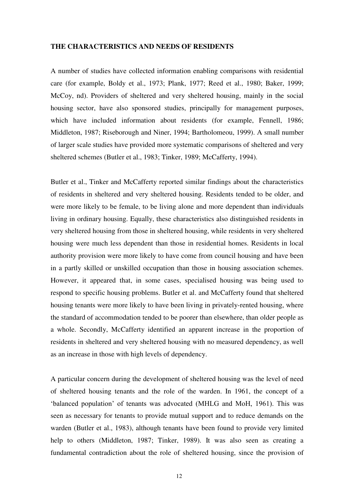#### **THE CHARACTERISTICS AND NEEDS OF RESIDENTS**

A number of studies have collected information enabling comparisons with residential care (for example, Boldy et al., 1973; Plank, 1977; Reed et al., 1980; Baker, 1999; McCoy, nd). Providers of sheltered and very sheltered housing, mainly in the social housing sector, have also sponsored studies, principally for management purposes, which have included information about residents (for example, Fennell, 1986; Middleton, 1987; Riseborough and Niner, 1994; Bartholomeou, 1999). A small number of larger scale studies have provided more systematic comparisons of sheltered and very sheltered schemes (Butler et al., 1983; Tinker, 1989; McCafferty, 1994).

Butler et al., Tinker and McCafferty reported similar findings about the characteristics of residents in sheltered and very sheltered housing. Residents tended to be older, and were more likely to be female, to be living alone and more dependent than individuals living in ordinary housing. Equally, these characteristics also distinguished residents in very sheltered housing from those in sheltered housing, while residents in very sheltered housing were much less dependent than those in residential homes. Residents in local authority provision were more likely to have come from council housing and have been in a partly skilled or unskilled occupation than those in housing association schemes. However, it appeared that, in some cases, specialised housing was being used to respond to specific housing problems. Butler et al. and McCafferty found that sheltered housing tenants were more likely to have been living in privately-rented housing, where the standard of accommodation tended to be poorer than elsewhere, than older people as a whole. Secondly, McCafferty identified an apparent increase in the proportion of residents in sheltered and very sheltered housing with no measured dependency, as well as an increase in those with high levels of dependency.

A particular concern during the development of sheltered housing was the level of need of sheltered housing tenants and the role of the warden. In 1961, the concept of a 'balanced population' of tenants was advocated (MHLG and MoH, 1961). This was seen as necessary for tenants to provide mutual support and to reduce demands on the warden (Butler et al., 1983), although tenants have been found to provide very limited help to others (Middleton, 1987; Tinker, 1989). It was also seen as creating a fundamental contradiction about the role of sheltered housing, since the provision of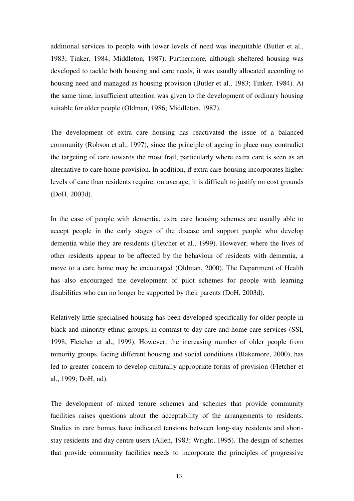additional services to people with lower levels of need was inequitable (Butler et al., 1983; Tinker, 1984; Middleton, 1987). Furthermore, although sheltered housing was developed to tackle both housing and care needs, it was usually allocated according to housing need and managed as housing provision (Butler et al., 1983; Tinker, 1984). At the same time, insufficient attention was given to the development of ordinary housing suitable for older people (Oldman, 1986; Middleton, 1987).

The development of extra care housing has reactivated the issue of a balanced community (Robson et al., 1997), since the principle of ageing in place may contradict the targeting of care towards the most frail, particularly where extra care is seen as an alternative to care home provision. In addition, if extra care housing incorporates higher levels of care than residents require, on average, it is difficult to justify on cost grounds (DoH, 2003d).

In the case of people with dementia, extra care housing schemes are usually able to accept people in the early stages of the disease and support people who develop dementia while they are residents (Fletcher et al., 1999). However, where the lives of other residents appear to be affected by the behaviour of residents with dementia, a move to a care home may be encouraged (Oldman, 2000). The Department of Health has also encouraged the development of pilot schemes for people with learning disabilities who can no longer be supported by their parents (DoH, 2003d).

Relatively little specialised housing has been developed specifically for older people in black and minority ethnic groups, in contrast to day care and home care services (SSI, 1998; Fletcher et al., 1999). However, the increasing number of older people from minority groups, facing different housing and social conditions (Blakemore, 2000), has led to greater concern to develop culturally appropriate forms of provision (Fletcher et al., 1999; DoH, nd).

The development of mixed tenure schemes and schemes that provide community facilities raises questions about the acceptability of the arrangements to residents. Studies in care homes have indicated tensions between long-stay residents and shortstay residents and day centre users (Allen, 1983; Wright, 1995). The design of schemes that provide community facilities needs to incorporate the principles of progressive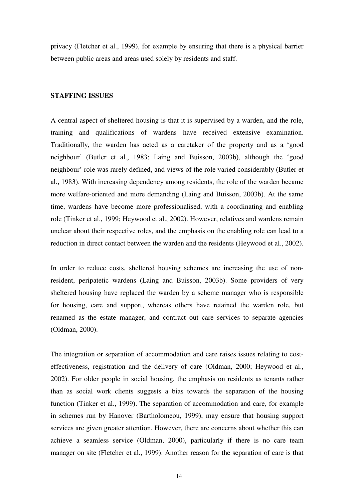privacy (Fletcher et al., 1999), for example by ensuring that there is a physical barrier between public areas and areas used solely by residents and staff.

#### **STAFFING ISSUES**

A central aspect of sheltered housing is that it is supervised by a warden, and the role, training and qualifications of wardens have received extensive examination. Traditionally, the warden has acted as a caretaker of the property and as a 'good neighbour' (Butler et al., 1983; Laing and Buisson, 2003b), although the 'good neighbour' role was rarely defined, and views of the role varied considerably (Butler et al., 1983). With increasing dependency among residents, the role of the warden became more welfare-oriented and more demanding (Laing and Buisson, 2003b). At the same time, wardens have become more professionalised, with a coordinating and enabling role (Tinker et al., 1999; Heywood et al., 2002). However, relatives and wardens remain unclear about their respective roles, and the emphasis on the enabling role can lead to a reduction in direct contact between the warden and the residents (Heywood et al., 2002).

In order to reduce costs, sheltered housing schemes are increasing the use of nonresident, peripatetic wardens (Laing and Buisson, 2003b). Some providers of very sheltered housing have replaced the warden by a scheme manager who is responsible for housing, care and support, whereas others have retained the warden role, but renamed as the estate manager, and contract out care services to separate agencies (Oldman, 2000).

The integration or separation of accommodation and care raises issues relating to costeffectiveness, registration and the delivery of care (Oldman, 2000; Heywood et al., 2002). For older people in social housing, the emphasis on residents as tenants rather than as social work clients suggests a bias towards the separation of the housing function (Tinker et al., 1999). The separation of accommodation and care, for example in schemes run by Hanover (Bartholomeou, 1999), may ensure that housing support services are given greater attention. However, there are concerns about whether this can achieve a seamless service (Oldman, 2000), particularly if there is no care team manager on site (Fletcher et al., 1999). Another reason for the separation of care is that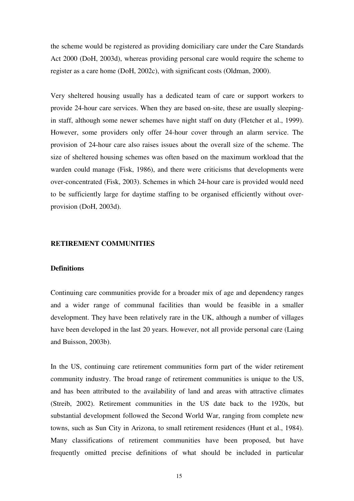the scheme would be registered as providing domiciliary care under the Care Standards Act 2000 (DoH, 2003d), whereas providing personal care would require the scheme to register as a care home (DoH, 2002c), with significant costs (Oldman, 2000).

Very sheltered housing usually has a dedicated team of care or support workers to provide 24-hour care services. When they are based on-site, these are usually sleepingin staff, although some newer schemes have night staff on duty (Fletcher et al., 1999). However, some providers only offer 24-hour cover through an alarm service. The provision of 24-hour care also raises issues about the overall size of the scheme. The size of sheltered housing schemes was often based on the maximum workload that the warden could manage (Fisk, 1986), and there were criticisms that developments were over-concentrated (Fisk, 2003). Schemes in which 24-hour care is provided would need to be sufficiently large for daytime staffing to be organised efficiently without overprovision (DoH, 2003d).

#### **RETIREMENT COMMUNITIES**

#### **Definitions**

Continuing care communities provide for a broader mix of age and dependency ranges and a wider range of communal facilities than would be feasible in a smaller development. They have been relatively rare in the UK, although a number of villages have been developed in the last 20 years. However, not all provide personal care (Laing and Buisson, 2003b).

In the US, continuing care retirement communities form part of the wider retirement community industry. The broad range of retirement communities is unique to the US, and has been attributed to the availability of land and areas with attractive climates (Streib, 2002). Retirement communities in the US date back to the 1920s, but substantial development followed the Second World War, ranging from complete new towns, such as Sun City in Arizona, to small retirement residences (Hunt et al., 1984). Many classifications of retirement communities have been proposed, but have frequently omitted precise definitions of what should be included in particular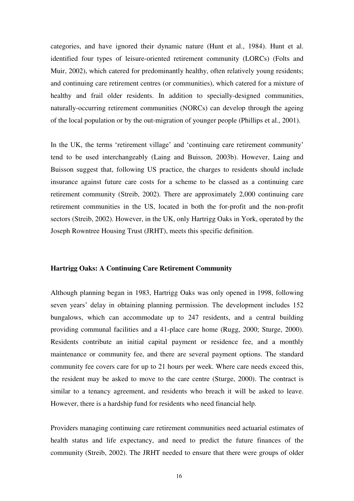categories, and have ignored their dynamic nature (Hunt et al., 1984). Hunt et al. identified four types of leisure-oriented retirement community (LORCs) (Folts and Muir, 2002), which catered for predominantly healthy, often relatively young residents; and continuing care retirement centres (or communities), which catered for a mixture of healthy and frail older residents. In addition to specially-designed communities, naturally-occurring retirement communities (NORCs) can develop through the ageing of the local population or by the out-migration of younger people (Phillips et al., 2001).

In the UK, the terms 'retirement village' and 'continuing care retirement community' tend to be used interchangeably (Laing and Buisson, 2003b). However, Laing and Buisson suggest that, following US practice, the charges to residents should include insurance against future care costs for a scheme to be classed as a continuing care retirement community (Streib, 2002). There are approximately 2,000 continuing care retirement communities in the US, located in both the for-profit and the non-profit sectors (Streib, 2002). However, in the UK, only Hartrigg Oaks in York, operated by the Joseph Rowntree Housing Trust (JRHT), meets this specific definition.

#### **Hartrigg Oaks: A Continuing Care Retirement Community**

Although planning began in 1983, Hartrigg Oaks was only opened in 1998, following seven years' delay in obtaining planning permission. The development includes 152 bungalows, which can accommodate up to 247 residents, and a central building providing communal facilities and a 41-place care home (Rugg, 2000; Sturge, 2000). Residents contribute an initial capital payment or residence fee, and a monthly maintenance or community fee, and there are several payment options. The standard community fee covers care for up to 21 hours per week. Where care needs exceed this, the resident may be asked to move to the care centre (Sturge, 2000). The contract is similar to a tenancy agreement, and residents who breach it will be asked to leave. However, there is a hardship fund for residents who need financial help.

Providers managing continuing care retirement communities need actuarial estimates of health status and life expectancy, and need to predict the future finances of the community (Streib, 2002). The JRHT needed to ensure that there were groups of older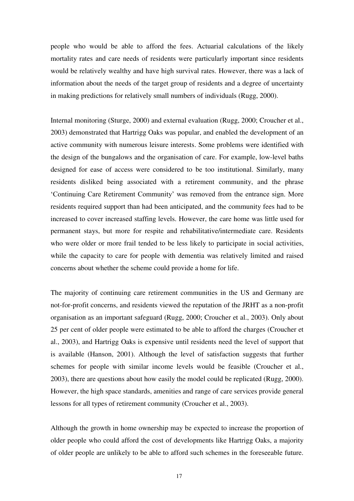people who would be able to afford the fees. Actuarial calculations of the likely mortality rates and care needs of residents were particularly important since residents would be relatively wealthy and have high survival rates. However, there was a lack of information about the needs of the target group of residents and a degree of uncertainty in making predictions for relatively small numbers of individuals (Rugg, 2000).

Internal monitoring (Sturge, 2000) and external evaluation (Rugg, 2000; Croucher et al., 2003) demonstrated that Hartrigg Oaks was popular, and enabled the development of an active community with numerous leisure interests. Some problems were identified with the design of the bungalows and the organisation of care. For example, low-level baths designed for ease of access were considered to be too institutional. Similarly, many residents disliked being associated with a retirement community, and the phrase 'Continuing Care Retirement Community' was removed from the entrance sign. More residents required support than had been anticipated, and the community fees had to be increased to cover increased staffing levels. However, the care home was little used for permanent stays, but more for respite and rehabilitative/intermediate care. Residents who were older or more frail tended to be less likely to participate in social activities, while the capacity to care for people with dementia was relatively limited and raised concerns about whether the scheme could provide a home for life.

The majority of continuing care retirement communities in the US and Germany are not-for-profit concerns, and residents viewed the reputation of the JRHT as a non-profit organisation as an important safeguard (Rugg, 2000; Croucher et al., 2003). Only about 25 per cent of older people were estimated to be able to afford the charges (Croucher et al., 2003), and Hartrigg Oaks is expensive until residents need the level of support that is available (Hanson, 2001). Although the level of satisfaction suggests that further schemes for people with similar income levels would be feasible (Croucher et al., 2003), there are questions about how easily the model could be replicated (Rugg, 2000). However, the high space standards, amenities and range of care services provide general lessons for all types of retirement community (Croucher et al., 2003).

Although the growth in home ownership may be expected to increase the proportion of older people who could afford the cost of developments like Hartrigg Oaks, a majority of older people are unlikely to be able to afford such schemes in the foreseeable future.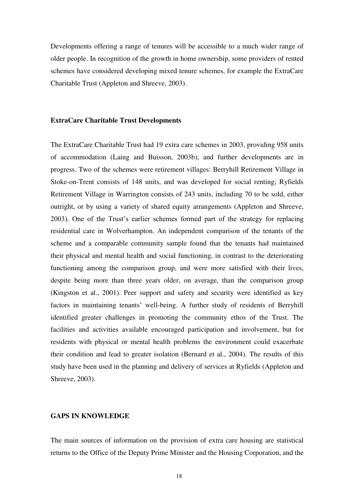Developments offering a range of tenures will be accessible to a much wider range of older people. In recognition of the growth in home ownership, some providers of rented schemes have considered developing mixed tenure schemes, for example the ExtraCare Charitable Trust (Appleton and Shreeve, 2003).

#### **ExtraCare Charitable Trust Developments**

The ExtraCare Charitable Trust had 19 extra care schemes in 2003, providing 958 units of accommodation (Laing and Buisson, 2003b), and further developments are in progress. Two of the schemes were retirement villages: Berryhill Retirement Village in Stoke-on-Trent consists of 148 units, and was developed for social renting; Ryfields Retirement Village in Warrington consists of 243 units, including 70 to be sold, either outright, or by using a variety of shared equity arrangements (Appleton and Shreeve, 2003). One of the Trust's earlier schemes formed part of the strategy for replacing residential care in Wolverhampton. An independent comparison of the tenants of the scheme and a comparable community sample found that the tenants had maintained their physical and mental health and social functioning, in contrast to the deteriorating functioning among the comparison group, and were more satisfied with their lives, despite being more than three years older, on average, than the comparison group (Kingston et al., 2001). Peer support and safety and security were identified as key factors in maintaining tenants' well-being. A further study of residents of Berryhill identified greater challenges in promoting the community ethos of the Trust. The facilities and activities available encouraged participation and involvement, but for residents with physical or mental health problems the environment could exacerbate their condition and lead to greater isolation (Bernard et al., 2004). The results of this study have been used in the planning and delivery of services at Ryfields (Appleton and Shreeve, 2003).

#### **GAPS IN KNOWLEDGE**

The main sources of information on the provision of extra care housing are statistical returns to the Office of the Deputy Prime Minister and the Housing Corporation, and the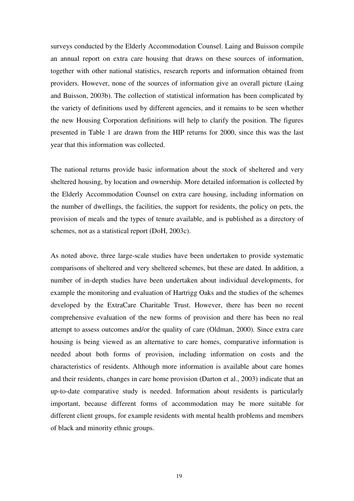surveys conducted by the Elderly Accommodation Counsel. Laing and Buisson compile an annual report on extra care housing that draws on these sources of information, together with other national statistics, research reports and information obtained from providers. However, none of the sources of information give an overall picture (Laing and Buisson, 2003b). The collection of statistical information has been complicated by the variety of definitions used by different agencies, and it remains to be seen whether the new Housing Corporation definitions will help to clarify the position. The figures presented in Table 1 are drawn from the HIP returns for 2000, since this was the last year that this information was collected.

The national returns provide basic information about the stock of sheltered and very sheltered housing, by location and ownership. More detailed information is collected by the Elderly Accommodation Counsel on extra care housing, including information on the number of dwellings, the facilities, the support for residents, the policy on pets, the provision of meals and the types of tenure available, and is published as a directory of schemes, not as a statistical report (DoH, 2003c).

As noted above, three large-scale studies have been undertaken to provide systematic comparisons of sheltered and very sheltered schemes, but these are dated. In addition, a number of in-depth studies have been undertaken about individual developments, for example the monitoring and evaluation of Hartrigg Oaks and the studies of the schemes developed by the ExtraCare Charitable Trust. However, there has been no recent comprehensive evaluation of the new forms of provision and there has been no real attempt to assess outcomes and/or the quality of care (Oldman, 2000). Since extra care housing is being viewed as an alternative to care homes, comparative information is needed about both forms of provision, including information on costs and the characteristics of residents. Although more information is available about care homes and their residents, changes in care home provision (Darton et al., 2003) indicate that an up-to-date comparative study is needed. Information about residents is particularly important, because different forms of accommodation may be more suitable for different client groups, for example residents with mental health problems and members of black and minority ethnic groups.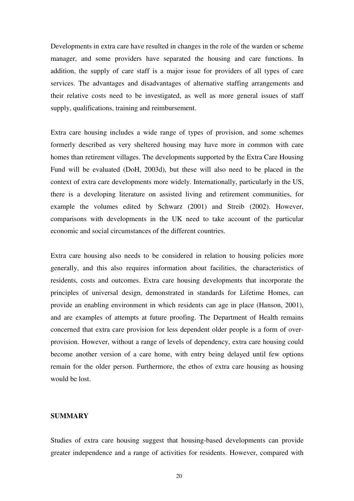Developments in extra care have resulted in changes in the role of the warden or scheme manager, and some providers have separated the housing and care functions. In addition, the supply of care staff is a major issue for providers of all types of care services. The advantages and disadvantages of alternative staffing arrangements and their relative costs need to be investigated, as well as more general issues of staff supply, qualifications, training and reimbursement.

Extra care housing includes a wide range of types of provision, and some schemes formerly described as very sheltered housing may have more in common with care homes than retirement villages. The developments supported by the Extra Care Housing Fund will be evaluated (DoH, 2003d), but these will also need to be placed in the context of extra care developments more widely. Internationally, particularly in the US, there is a developing literature on assisted living and retirement communities, for example the volumes edited by Schwarz (2001) and Streib (2002). However, comparisons with developments in the UK need to take account of the particular economic and social circumstances of the different countries.

Extra care housing also needs to be considered in relation to housing policies more generally, and this also requires information about facilities, the characteristics of residents, costs and outcomes. Extra care housing developments that incorporate the principles of universal design, demonstrated in standards for Lifetime Homes, can provide an enabling environment in which residents can age in place (Hanson, 2001), and are examples of attempts at future proofing. The Department of Health remains concerned that extra care provision for less dependent older people is a form of overprovision. However, without a range of levels of dependency, extra care housing could become another version of a care home, with entry being delayed until few options remain for the older person. Furthermore, the ethos of extra care housing as housing would be lost.

#### **SUMMARY**

Studies of extra care housing suggest that housing-based developments can provide greater independence and a range of activities for residents. However, compared with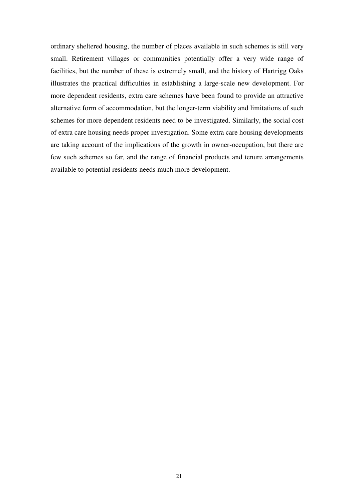ordinary sheltered housing, the number of places available in such schemes is still very small. Retirement villages or communities potentially offer a very wide range of facilities, but the number of these is extremely small, and the history of Hartrigg Oaks illustrates the practical difficulties in establishing a large-scale new development. For more dependent residents, extra care schemes have been found to provide an attractive alternative form of accommodation, but the longer-term viability and limitations of such schemes for more dependent residents need to be investigated. Similarly, the social cost of extra care housing needs proper investigation. Some extra care housing developments are taking account of the implications of the growth in owner-occupation, but there are few such schemes so far, and the range of financial products and tenure arrangements available to potential residents needs much more development.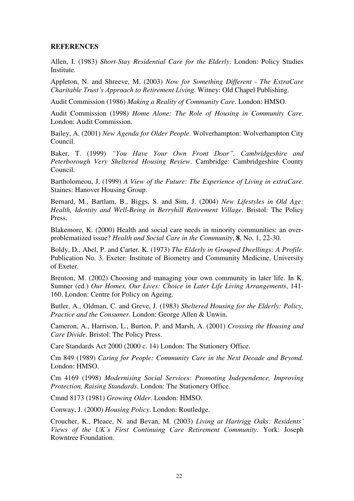#### **REFERENCES**

Allen, I. (1983) *Short-Stay Residential Care for the Elderly*. London: Policy Studies Institute.

Appleton, N. and Shreeve, M. (2003) *Now for Something Different - The ExtraCare Charitable Trust's Approach to Retirement Living*. Witney: Old Chapel Publishing.

Audit Commission (1986) *Making a Reality of Community Care*. London: HMSO.

Audit Commission (1998) *Home Alone: The Role of Housing in Community Care*. London: Audit Commission.

Bailey, A. (2001) *New Agenda for Older People*. Wolverhampton: Wolverhampton City Council.

Baker, T. (1999) *"You Have Your Own Front Door". Cambridgeshire and Peterborough Very Sheltered Housing Review*. Cambridge: Cambridgeshire County Council.

Bartholomeou, J. (1999) *A View of the Future: The Experience of Living in extraCare*. Staines: Hanover Housing Group.

Bernard, M., Bartlam, B., Biggs, S. and Sim, J. (2004) *New Lifestyles in Old Age: Health, Identity and Well-Being in Berryhill Retirement Village*. Bristol: The Policy Press.

Blakemore, K. (2000) Health and social care needs in minority communities: an overproblematized issue? *Health and Social Care in the Community*, **8**, No. 1, 22-30.

Boldy, D., Abel, P. and Carter, K. (1973) *The Elderly in Grouped Dwellings: A Profile*. Publication No. 3. Exeter: Institute of Biometry and Community Medicine, University of Exeter.

Brenton, M. (2002) Choosing and managing your own community in later life. In K. Sumner (ed.) *Our Homes, Our Lives: Choice in Later Life Living Arrangements*, 141- 160. London: Centre for Policy on Ageing.

Butler, A., Oldman, C. and Greve, J. (1983) *Sheltered Housing for the Elderly: Policy, Practice and the Consumer*. London: George Allen & Unwin.

Cameron, A., Harrison, L., Burton, P. and Marsh, A. (2001) *Crossing the Housing and Care Divide*. Bristol: The Policy Press.

Care Standards Act 2000 (2000 c. 14) London: The Stationery Office.

Cm 849 (1989) *Caring for People: Community Care in the Next Decade and Beyond*. London: HMSO.

Cm 4169 (1998) *Modernising Social Services: Promoting Independence, Improving Protection, Raising Standards*. London: The Stationery Office.

Cmnd 8173 (1981) *Growing Older*. London: HMSO.

Conway, J. (2000) *Housing Policy*. London: Routledge.

Croucher, K., Pleace, N. and Bevan, M. (2003) *Living at Hartrigg Oaks: Residents' Views of the UK's First Continuing Care Retirement Community*. York: Joseph Rowntree Foundation.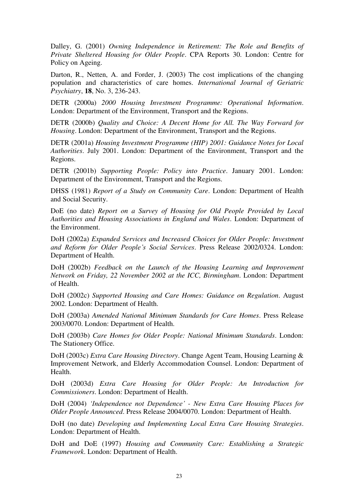Dalley, G. (2001) *Owning Independence in Retirement: The Role and Benefits of Private Sheltered Housing for Older People*. CPA Reports 30. London: Centre for Policy on Ageing.

Darton, R., Netten, A. and Forder, J. (2003) The cost implications of the changing population and characteristics of care homes. *International Journal of Geriatric Psychiatry*, **18**, No. 3, 236-243.

DETR (2000a) *2000 Housing Investment Programme: Operational Information*. London: Department of the Environment, Transport and the Regions.

DETR (2000b) *Quality and Choice: A Decent Home for All. The Way Forward for Housing*. London: Department of the Environment, Transport and the Regions.

DETR (2001a) *Housing Investment Programme (HIP) 2001: Guidance Notes for Local Authorities*. July 2001. London: Department of the Environment, Transport and the Regions.

DETR (2001b) *Supporting People: Policy into Practice*. January 2001. London: Department of the Environment, Transport and the Regions.

DHSS (1981) *Report of a Study on Community Care*. London: Department of Health and Social Security.

DoE (no date) *Report on a Survey of Housing for Old People Provided by Local Authorities and Housing Associations in England and Wales*. London: Department of the Environment.

DoH (2002a) *Expanded Services and Increased Choices for Older People: Investment and Reform for Older People's Social Services*. Press Release 2002/0324. London: Department of Health.

DoH (2002b) *Feedback on the Launch of the Housing Learning and Improvement Network on Friday, 22 November 2002 at the ICC, Birmingham*. London: Department of Health.

DoH (2002c) *Supported Housing and Care Homes: Guidance on Regulation*. August 2002. London: Department of Health.

DoH (2003a) *Amended National Minimum Standards for Care Homes*. Press Release 2003/0070. London: Department of Health.

DoH (2003b) *Care Homes for Older People: National Minimum Standards*. London: The Stationery Office.

DoH (2003c) *Extra Care Housing Directory*. Change Agent Team, Housing Learning & Improvement Network, and Elderly Accommodation Counsel. London: Department of Health.

DoH (2003d) *Extra Care Housing for Older People: An Introduction for Commissioners*. London: Department of Health.

DoH (2004) *'Independence not Dependence' - New Extra Care Housing Places for Older People Announced*. Press Release 2004/0070. London: Department of Health.

DoH (no date) *Developing and Implementing Local Extra Care Housing Strategies*. London: Department of Health.

DoH and DoE (1997) *Housing and Community Care: Establishing a Strategic Framework*. London: Department of Health.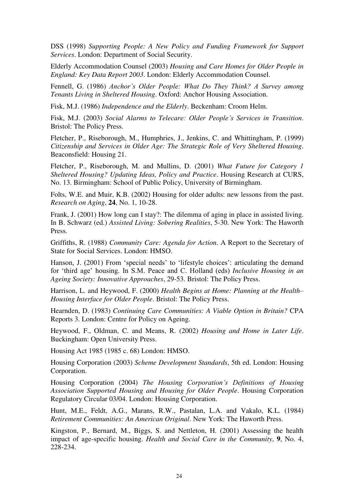DSS (1998) *Supporting People: A New Policy and Funding Framework for Support Services*. London: Department of Social Security.

Elderly Accommodation Counsel (2003) *Housing and Care Homes for Older People in England: Key Data Report 2003*. London: Elderly Accommodation Counsel.

Fennell, G. (1986) *Anchor's Older People: What Do They Think? A Survey among Tenants Living in Sheltered Housing*. Oxford: Anchor Housing Association.

Fisk, M.J. (1986) *Independence and the Elderly*. Beckenham: Croom Helm.

Fisk, M.J. (2003) *Social Alarms to Telecare: Older People's Services in Transition*. Bristol: The Policy Press.

Fletcher, P., Riseborough, M., Humphries, J., Jenkins, C. and Whittingham, P. (1999) *Citizenship and Services in Older Age: The Strategic Role of Very Sheltered Housing*. Beaconsfield: Housing 21.

Fletcher, P., Riseborough, M. and Mullins, D. (2001) *What Future for Category 1 Sheltered Housing? Updating Ideas, Policy and Practice*. Housing Research at CURS, No. 13. Birmingham: School of Public Policy, University of Birmingham.

Folts, W.E. and Muir, K.B. (2002) Housing for older adults: new lessons from the past. *Research on Aging*, **24**, No. 1, 10-28.

Frank, J. (2001) How long can I stay?: The dilemma of aging in place in assisted living. In B. Schwarz (ed.) *Assisted Living: Sobering Realities*, 5-30. New York: The Haworth Press.

Griffiths, R. (1988) *Community Care: Agenda for Action*. A Report to the Secretary of State for Social Services. London: HMSO.

Hanson, J. (2001) From 'special needs' to 'lifestyle choices': articulating the demand for 'third age' housing. In S.M. Peace and C. Holland (eds) *Inclusive Housing in an Ageing Society: Innovative Approaches*, 29-53. Bristol: The Policy Press.

Harrison, L. and Heywood, F. (2000) *Health Begins at Home: Planning at the Health– Housing Interface for Older People*. Bristol: The Policy Press.

Hearnden, D. (1983) *Continuing Care Communities: A Viable Option in Britain?* CPA Reports 3. London: Centre for Policy on Ageing.

Heywood, F., Oldman, C. and Means, R. (2002) *Housing and Home in Later Life*. Buckingham: Open University Press.

Housing Act 1985 (1985 c. 68) London: HMSO.

Housing Corporation (2003) *Scheme Development Standards*, 5th ed. London: Housing Corporation.

Housing Corporation (2004) *The Housing Corporation's Definitions of Housing Association Supported Housing and Housing for Older People*. Housing Corporation Regulatory Circular 03/04. London: Housing Corporation.

Hunt, M.E., Feldt, A.G., Marans, R.W., Pastalan, L.A. and Vakalo, K.L. (1984) *Retirement Communities: An American Original*. New York: The Haworth Press.

Kingston, P., Bernard, M., Biggs, S. and Nettleton, H. (2001) Assessing the health impact of age-specific housing. *Health and Social Care in the Community*, **9**, No. 4, 228-234.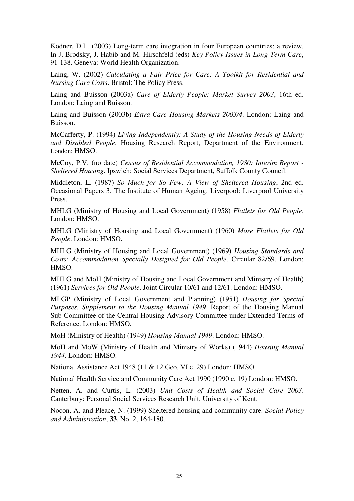Kodner, D.L. (2003) Long-term care integration in four European countries: a review. In J. Brodsky, J. Habib and M. Hirschfeld (eds) *Key Policy Issues in Long-Term Care*, 91-138. Geneva: World Health Organization.

Laing, W. (2002) *Calculating a Fair Price for Care: A Toolkit for Residential and Nursing Care Costs*. Bristol: The Policy Press.

Laing and Buisson (2003a) *Care of Elderly People: Market Survey 2003*, 16th ed. London: Laing and Buisson.

Laing and Buisson (2003b) *Extra-Care Housing Markets 2003/4*. London: Laing and Buisson.

McCafferty, P. (1994) *Living Independently: A Study of the Housing Needs of Elderly and Disabled People*. Housing Research Report, Department of the Environment. London: HMSO.

McCoy, P.V. (no date) *Census of Residential Accommodation, 1980: Interim Report - Sheltered Housing*. Ipswich: Social Services Department, Suffolk County Council.

Middleton, L. (1987) *So Much for So Few: A View of Sheltered Housing*, 2nd ed. Occasional Papers 3. The Institute of Human Ageing. Liverpool: Liverpool University Press.

MHLG (Ministry of Housing and Local Government) (1958) *Flatlets for Old People*. London: HMSO.

MHLG (Ministry of Housing and Local Government) (1960) *More Flatlets for Old People*. London: HMSO.

MHLG (Ministry of Housing and Local Government) (1969) *Housing Standards and Costs: Accommodation Specially Designed for Old People*. Circular 82/69. London: HMSO.

MHLG and MoH (Ministry of Housing and Local Government and Ministry of Health) (1961) *Services for Old People*. Joint Circular 10/61 and 12/61. London: HMSO.

MLGP (Ministry of Local Government and Planning) (1951) *Housing for Special Purposes. Supplement to the Housing Manual 1949*. Report of the Housing Manual Sub-Committee of the Central Housing Advisory Committee under Extended Terms of Reference. London: HMSO.

MoH (Ministry of Health) (1949) *Housing Manual 1949*. London: HMSO.

MoH and MoW (Ministry of Health and Ministry of Works) (1944) *Housing Manual 1944*. London: HMSO.

National Assistance Act 1948 (11 & 12 Geo. VI c. 29) London: HMSO.

National Health Service and Community Care Act 1990 (1990 c. 19) London: HMSO.

Netten, A. and Curtis, L. (2003) *Unit Costs of Health and Social Care 2003*. Canterbury: Personal Social Services Research Unit, University of Kent.

Nocon, A. and Pleace, N. (1999) Sheltered housing and community care. *Social Policy and Administration*, **33**, No. 2, 164-180.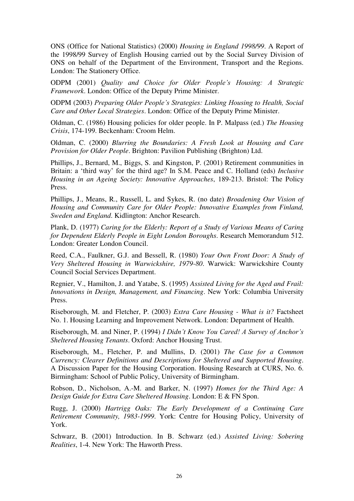ONS (Office for National Statistics) (2000) *Housing in England 1998/99*. A Report of the 1998/99 Survey of English Housing carried out by the Social Survey Division of ONS on behalf of the Department of the Environment, Transport and the Regions. London: The Stationery Office.

ODPM (2001) *Quality and Choice for Older People's Housing: A Strategic Framework*. London: Office of the Deputy Prime Minister.

ODPM (2003) *Preparing Older People's Strategies: Linking Housing to Health, Social Care and Other Local Strategies*. London: Office of the Deputy Prime Minister.

Oldman, C. (1986) Housing policies for older people. In P. Malpass (ed.) *The Housing Crisis*, 174-199. Beckenham: Croom Helm.

Oldman, C. (2000) *Blurring the Boundaries: A Fresh Look at Housing and Care Provision for Older People*. Brighton: Pavilion Publishing (Brighton) Ltd.

Phillips, J., Bernard, M., Biggs, S. and Kingston, P. (2001) Retirement communities in Britain: a 'third way' for the third age? In S.M. Peace and C. Holland (eds) *Inclusive Housing in an Ageing Society: Innovative Approaches*, 189-213. Bristol: The Policy Press.

Phillips, J., Means, R., Russell, L. and Sykes, R. (no date) *Broadening Our Vision of Housing and Community Care for Older People: Innovative Examples from Finland, Sweden and England*. Kidlington: Anchor Research.

Plank, D. (1977) *Caring for the Elderly: Report of a Study of Various Means of Caring for Dependent Elderly People in Eight London Boroughs*. Research Memorandum 512. London: Greater London Council.

Reed, C.A., Faulkner, G.J. and Bessell, R. (1980) *Your Own Front Door: A Study of Very Sheltered Housing in Warwickshire, 1979-80*. Warwick: Warwickshire County Council Social Services Department.

Regnier, V., Hamilton, J. and Yatabe, S. (1995) *Assisted Living for the Aged and Frail: Innovations in Design, Management, and Financing*. New York: Columbia University Press.

Riseborough, M. and Fletcher, P. (2003) *Extra Care Housing - What is it?* Factsheet No. 1. Housing Learning and Improvement Network. London: Department of Health.

Riseborough, M. and Niner, P. (1994) *I Didn't Know You Cared! A Survey of Anchor's Sheltered Housing Tenants*. Oxford: Anchor Housing Trust.

Riseborough, M., Fletcher, P. and Mullins, D. (2001) *The Case for a Common Currency: Clearer Definitions and Descriptions for Sheltered and Supported Housing*. A Discussion Paper for the Housing Corporation. Housing Research at CURS, No. 6. Birmingham: School of Public Policy, University of Birmingham.

Robson, D., Nicholson, A.-M. and Barker, N. (1997) *Homes for the Third Age: A Design Guide for Extra Care Sheltered Housing*. London: E & FN Spon.

Rugg, J. (2000) *Hartrigg Oaks: The Early Development of a Continuing Care Retirement Community, 1983-1999*. York: Centre for Housing Policy, University of York.

Schwarz, B. (2001) Introduction. In B. Schwarz (ed.) *Assisted Living: Sobering Realities*, 1-4. New York: The Haworth Press.